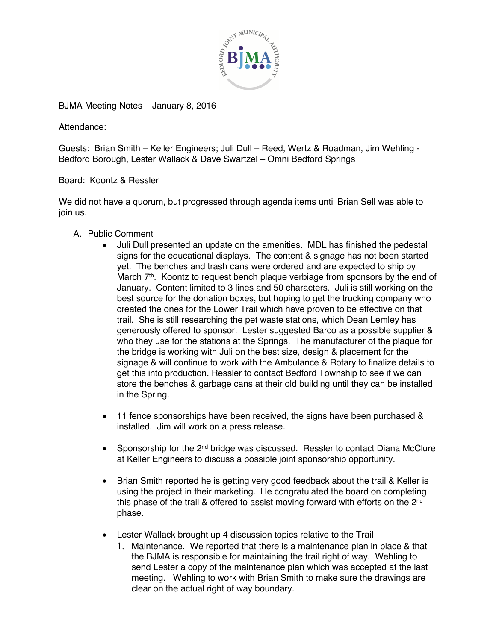

BJMA Meeting Notes – January 8, 2016

Attendance:

Guests: Brian Smith – Keller Engineers; Juli Dull – Reed, Wertz & Roadman, Jim Wehling - Bedford Borough, Lester Wallack & Dave Swartzel – Omni Bedford Springs

Board: Koontz & Ressler

We did not have a quorum, but progressed through agenda items until Brian Sell was able to join us.

- A. Public Comment
	- Juli Dull presented an update on the amenities. MDL has finished the pedestal signs for the educational displays. The content & signage has not been started yet. The benches and trash cans were ordered and are expected to ship by March 7<sup>th</sup>. Koontz to request bench plaque verbiage from sponsors by the end of January. Content limited to 3 lines and 50 characters. Juli is still working on the best source for the donation boxes, but hoping to get the trucking company who created the ones for the Lower Trail which have proven to be effective on that trail. She is still researching the pet waste stations, which Dean Lemley has generously offered to sponsor. Lester suggested Barco as a possible supplier & who they use for the stations at the Springs. The manufacturer of the plaque for the bridge is working with Juli on the best size, design & placement for the signage & will continue to work with the Ambulance & Rotary to finalize details to get this into production. Ressler to contact Bedford Township to see if we can store the benches & garbage cans at their old building until they can be installed in the Spring.
	- 11 fence sponsorships have been received, the signs have been purchased & installed. Jim will work on a press release.
	- Sponsorship for the 2<sup>nd</sup> bridge was discussed. Ressler to contact Diana McClure at Keller Engineers to discuss a possible joint sponsorship opportunity.
	- Brian Smith reported he is getting very good feedback about the trail & Keller is using the project in their marketing. He congratulated the board on completing this phase of the trail & offered to assist moving forward with efforts on the 2nd phase.
	- Lester Wallack brought up 4 discussion topics relative to the Trail
		- 1. Maintenance. We reported that there is a maintenance plan in place & that the BJMA is responsible for maintaining the trail right of way. Wehling to send Lester a copy of the maintenance plan which was accepted at the last meeting. Wehling to work with Brian Smith to make sure the drawings are clear on the actual right of way boundary.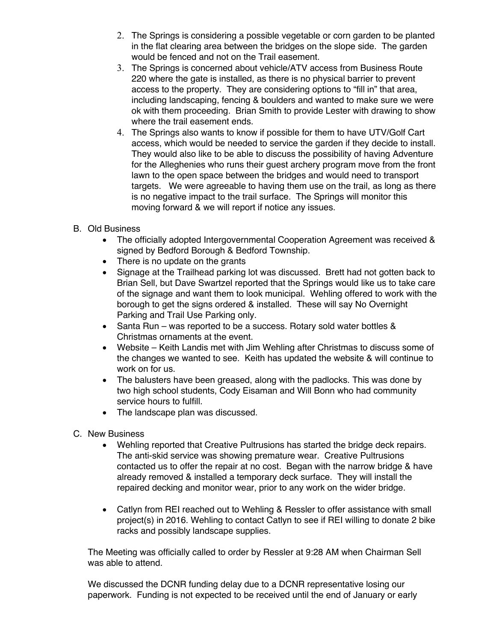- 2. The Springs is considering a possible vegetable or corn garden to be planted in the flat clearing area between the bridges on the slope side. The garden would be fenced and not on the Trail easement.
- 3. The Springs is concerned about vehicle/ATV access from Business Route 220 where the gate is installed, as there is no physical barrier to prevent access to the property. They are considering options to "fill in" that area, including landscaping, fencing & boulders and wanted to make sure we were ok with them proceeding. Brian Smith to provide Lester with drawing to show where the trail easement ends.
- 4. The Springs also wants to know if possible for them to have UTV/Golf Cart access, which would be needed to service the garden if they decide to install. They would also like to be able to discuss the possibility of having Adventure for the Alleghenies who runs their guest archery program move from the front lawn to the open space between the bridges and would need to transport targets. We were agreeable to having them use on the trail, as long as there is no negative impact to the trail surface. The Springs will monitor this moving forward & we will report if notice any issues.
- B. Old Business
	- The officially adopted Intergovernmental Cooperation Agreement was received & signed by Bedford Borough & Bedford Township.
	- There is no update on the grants
	- Signage at the Trailhead parking lot was discussed. Brett had not gotten back to Brian Sell, but Dave Swartzel reported that the Springs would like us to take care of the signage and want them to look municipal. Wehling offered to work with the borough to get the signs ordered & installed. These will say No Overnight Parking and Trail Use Parking only.
	- Santa Run was reported to be a success. Rotary sold water bottles & Christmas ornaments at the event.
	- Website Keith Landis met with Jim Wehling after Christmas to discuss some of the changes we wanted to see. Keith has updated the website & will continue to work on for us.
	- The balusters have been greased, along with the padlocks. This was done by two high school students, Cody Eisaman and Will Bonn who had community service hours to fulfill.
	- The landscape plan was discussed.
- C. New Business
	- Wehling reported that Creative Pultrusions has started the bridge deck repairs. The anti-skid service was showing premature wear. Creative Pultrusions contacted us to offer the repair at no cost. Began with the narrow bridge & have already removed & installed a temporary deck surface. They will install the repaired decking and monitor wear, prior to any work on the wider bridge.
	- Catlyn from REI reached out to Wehling & Ressler to offer assistance with small project(s) in 2016. Wehling to contact Catlyn to see if REI willing to donate 2 bike racks and possibly landscape supplies.

The Meeting was officially called to order by Ressler at 9:28 AM when Chairman Sell was able to attend.

We discussed the DCNR funding delay due to a DCNR representative losing our paperwork. Funding is not expected to be received until the end of January or early